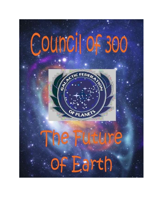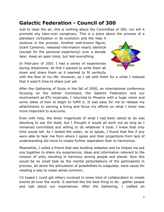## **Galactic Federation - Council of 300**

Just to clear the air, this is nothing about the Committee of 300, nor will it promote any take-over conspiracy. This is a piece about the process of a

planetary civilization in its evolution and the help it receives in the process. Another well-known figure, Grant Cameron, released information nearly identical (except for the personal experience) over a decade later. Keep an open mind, but test everything.

In February of 2001 I had a series of experiences during dreamtime. At first I wanted to write them all down and share them as it seemed to fit perfectly



with the flow of my life. However, as I sat with them for a while I realized that it wasn't time to share just yet.

After the Gathering of Souls in the fall of 2000, an international conference focusing on the Ashtar Command, the Galactic Federation and our involvement as ETs incarnate, I returned to Phoenix with a huge vision and *some* ideas of how to begin to fulfill it. It was easy for me to release my attachments to earning a living and focus my efforts on what I knew was more important to everyone.

Even with help, the sheer magnitude of what I had been asked to do was daunting to say the least, but I thought it would all work out as long as I remained committed and willing to do whatever it took. I knew that only time would tell. As I tested the water, so to speak, I found that few if any were able to hear me from where I spoke and their projections from lack of understanding did more to create further separation than to harmonize.

Meanwhile, I called a friend that was building websites and he helped me put one together to share my experiences, ideas and information relevant to the mission of unity resulting in harmony among people and planet. Now this would be no small task as the mental perturbations of the participants in process, let alone the articulation of possibilities to coagulate, were cause for needing a way to make sense common.

I'd hoped I could get others involved in some kind of collaboration to create events all over the world. It seemed like the best thing to do… gather people and talk about our experiences. After the Gathering, I crafted an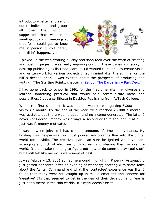introductory letter and sent it out to individuals and groups all over the world. I suggested that we create small groups and meetings so that folks could get to know me in person. Unfortunately, that didn't happen...yet.



I picked up the web crafting quickly and soon took over the work of creating and posting pages. I was really enjoying crafting these pages and applying desktop publishing skills I had learned. I'd wanted to be able to create visual and written work for various projects I had in mind after the summer on the hill a decade prior. I was excited about the prospects of producing and writing. (The Starting Point... chapter in **[Zendor The Barbarian](https://amzn.to/2K8RXxm) - Part Deux**)

I had gone back to school in 1991 for the first time after my divorce and learned something practical that would help communicate ideas and possibilities. I got a certificate in Desktop Publishing from AzTech College.

Within the first 6 months it was up, the website was getting 5,000 unique visitors a month. By the end of the year, we'd reached 25,000 a month. I was ecstatic, but there was no action and no income generated. The latter I never considered; money was always a second or third thought, if at all. I just wasn't money motivated.

I was between jobs so I had copious amounts of time on my hands. My hosting was inexpensive, so I just poured my creative flow into the digital world for a while. The creative spark can sure be ignited when you are arranging a bunch of electrons on a screen and sharing them across the world. It didn't take me long to figure out how to do some pretty cool stuff, but I still felt like my skills were inept at best.

It was February 13, 2001 sometime around midnight in Phoenix, Arizona. I'd just gotten horizontal after an evening of webbery; chatting with some folks about the Ashtar Command and what the 'contactee' experience was like. I found that many were still caught up in mixed emotions and concern for 'negative' ETs that seemed to get in the way of their development. Fear is just not a factor in the thin worlds. It simply doesn't exist.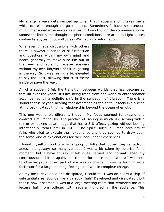My energy always gets ramped up when that happens and it takes me a while to relax enough to go to sleep. Sometimes I have spontaneous multidimensional experiences as a result. Even though the communication is somewhat linear, the thoughtmospheric conditions sure are not. Light pulses contain terabytes if not yottbytes (Wikipedia) of information.

Whenever I have discussions with others there is always a period of self-reflection and questions within my own mind and heart, generally to make sure I'm out of the way and able to receive answers without my own labyrinth of filters getting in the way. So I was feeling a bit elevated to say the least, allowing that trust factor inside to pave the way.



All of a sudden I felt the transition between worlds that has become so familiar over the years. It's like being freed from one world to enter another accompanied by a definite shift in the sensation of vibration. There is a sound that is beyond hearing that accompanies the shift. It feels like a wind at my back, catapulting my relation-ship beyond the ocean of emotion.

This one was a bit different, though. My focus seemed to expand and contract simultaneously. The practice of 'seeing' is much like scrying with a mirror or looking at an image that has a 3-D effect, gazing without looking intentionally. Years later in DMT - The Spirit Molecule I read accounts of folks who tried to explain their experience and they seemed to draw upon the same kind of explanations for their non-linear experiences.

I found myself in front of a large group of folks that looked they came from across the galaxy; so many varieties I was a bit taken by surprise for a moment, but I have to say it felt quite natural and normal. Then my consciousness shifted again, into the 'performance mode' where I was able to observe yet another part of me was in charge. I was performing as a facilitator for a large meeting, feeling like I was in complete charge.

As my focus developed and dissipated, I could tell I was on board a ship of substantial size. Sounds like a paradox, huh? Developed and dissipated… but that is how it seemed. I was in a large meeting room that reminded me of a lecture hall from college, with several hundred in the audience. This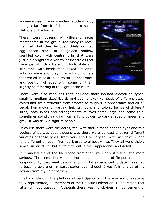audience wasn't your standard student body though; far from it. I looked out to see a plethora of life forms.

There were dozens of different races represented in the group, too many to recall them all, but they included thinly skinned egg-shaped blobs of a golden rainbow sparkled color with central orbs that were just a bit brighter; a variety of insectoids that were just slightly different in body style and skin tone, with heads that looked similar to ants on some and praying mantis on others that varied in color, skin texture, appearance and position of eyes with some of them slightly shimmering in the light of the room.



There were also reptilians that included short-snouted crocodilian types, small to medium sized lizards and even snake-like heads of different sizes, colors and scale structure from smooth to rough skin appearance and all bipedal; humanoids of varying heights, looks and colors; beings of different sizes, body types and arrangements of eyes some large and some thin, sometimes spindly ranging from a light golden to dark shades of green and grey. It was truly a sight to behold.

Of course there were the Zetas, too, with their almond-shaped eyes and thin bodies. What was odd, though, was there were at least a dozen different varieties of these types, from very short to very tall with skin texture and tone different on each, from dark grey to almost white. They all were visibly similar in structure, but quite different in their appearance and detail.

It reminded me of the bar scene from Star Wars only it felt a little more serious. The sensation was anchored in some kind of 'importance' and 'responsibility' that went beyond anything I'd experienced to date. I seemed to become aware of my participation even though I wasn't in charge of my actions from my point of view.

I felt confident in the plethora of participants and the myriads of systems they represented, all members of the Galactic Federation. I understood that latter without question. Although there was no obvious announcement of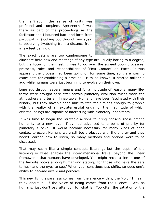their affiliation, the sense of unity was profound and complete. Apparently I was there as part of the proceedings as the facilitator and I bounced back and forth from participating (looking out through my eyes) to observing (watching from a distance from a few feet behind).



The exact details are too cumbersome to

elucidate here now and meetings of any type are usually boring to a degree, but the focus of the meeting was to go over the agreed upon processes, protocols, rules and responsibilities of 'First Contact' on Earth. It was apparent the process had been going on for some time, so there was no exact date for establishing a timeline. Truth be known, it started millennia ago while humans were just beginning to evolve on their own.

Long ago through several means and for a multitude of reasons, many lifeforms were brought here after certain planetary evolution cycles made the atmosphere and terrain inhabitable. Humans have been fascinated with their history, but they haven't been able to free their minds enough to grapple with the reality of an extraterrestrial origin or the magnitude of which celestial beings are capable of interacting with planetary inhabitants.

It was time to begin the strategic actions to bring consciousness among humanity to a new level. They had advanced to a point of priority for planetary survival. It would become necessary for many kinds of open contact to occur. Humans were still too projective with the energy and they hadn't learned how to listen, so many methods and options were to be discussed.

That may seem like a simple concept, listening, but the depth of the listening is what enables the interdimensional travel beyond the linear frameworks that humans have developed. You might recall a line in one of the favorite books among humankind stating, 'for those who have the ears to hear and the eyes to see.' When your consciousness shifts, so does one's ability to become aware and perceive.

This new living awareness comes from the silence within; the 'void.' I mean, think about it… If the Voice of Being comes from the Silence…. We, as humans, just don't pay attention to 'what is.' Too often the satiation of the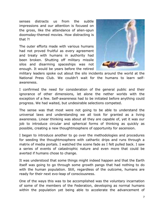senses distracts us from the subtle impressions and our attention is focused on the gross, like the attendance of alien-spun doomsday-themed movies. How distracting is that ?!

The outer efforts made with various humans had not proved fruitful as every agreement and treaty with humans in authority had been broken. Shutting off military missile silos and disarming spaceships was not enough. It would be years before the retired



military leaders spoke out about the silo incidents around the world at the National Press Club. We couldn't wait for the humans to learn selfawareness.

I confirmed the need for consideration of the general public and their ignorance of other dimensions, let alone the nether worlds with the exception of a few. Self-awareness had to be initiated before anything could progress. We had waited, but undesirable selections competed.

The sense was that most were not going to be able to understand the universal laws and understanding we all took for granted as a living awareness. Linear thinking was about all they are capable of, yet it was our job to introduce circular and spherical forms of thinking as quickly as possible, creating a new thoughtmosphere of opportunity for ascension.

I began to introduce another to go over the methodologies and procedures for seeding the thoughtmosphere with cathartic drips and runs through a matrix of media portals. I watched the scene fade as I felt pulled back. I saw a series of events of catastrophic nature and even more that could be averted if humans chose to change.

It was understood that some things might indeed happen and that the Earth itself was going to go through some growth pangs that had nothing to do with the human population. Still, regardless of the outcome, humans are ready for their next evo-leap of consciousness.

One of the ways this was to be accomplished was the voluntary incarnation of some of the members of the Federation, developing as normal humans within the population yet being able to accelerate the advancement of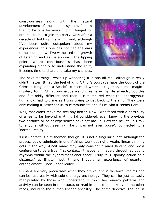consciousness along with the natural development of the human system. I knew that to be true for myself, but I longed for others like me to join the party. Only after a decade of holding this within and, although I've been quite outspoken about my experiences, this one has not had the ears to hear until now. I've witnessed the growth of listening and as we approach the tipping point, where consciousness has been expanding globally to understand the shift, it seems time to share and take my chances.



The next morning I woke up wondering if it was all real, although it really didn't matter. It had the feel of King Arthur's court (perhaps the Court of the Crimson King) and a Beatle's concert all wrapped together, a real magical mystery tour. I'd had numerous weird dreams in my life already, but this one felt oddly different and then I remembered what the androgynous humanoid had told me as I was trying to get back to the ship. They were only making it easier for us to communicate and if I'm who it seems I am…

Well, that didn't make me feel any better. Now I was faced with a possibility of a reality far beyond anything I'd considered, even knowing the previous two decades or so of experiences have set me up. How the hell could I talk to anyone without seeming like I was not even *loosely* connected to a 'normal' reality?

'First Contact' is a misnomer, though. It is not a singular event, although the process could culminate in one if things work out right. Again, linear thinking gets in the way. Albeit many may only consider a mass landing and press conference to be a true 'first contact,' it happens in layers through adjusting rhythms within the hyperdimensional space. Truly it is 'spooky action at a distance,' as Einstein put it, and triggers an experience of quantum entanglement... non-linear reality.

Humans are very predictable when they are caught in the lower realms and can be read easily with subtle energy technology. They can be just as easily manipulated by those who understand it, too. Their energy patterns and activity can be seen in their auras or read in their frequency by all the other races, including the human lineage ancestry. The prime directive, though, is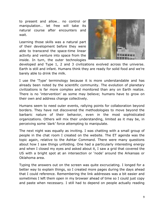to present and allow… no control or manipulation… let free will take its natural course after encounters and wait.

Learning those skills was a natural part of their development before they were able to transcend the space-time linear activity and venture into space from the inside. In turn, the outer technologies



developed and Type 1, 2 and 3 civilizations evolved across the universe. Earth is still and infant. Humans think they are ready for solid food and we're barely able to drink the milk.

I use the 'Type' terminology because it is more understandable and has already been noted by the scientific community. The evolution of planetary civilizations is far more complex and monitored than any on Earth realize. There is no 'intervention' as some may believe; humans have to grow on their own and address change collectively.

Humans seem to need outer events, rallying points for collaboration beyond borders. They have not discovered the methodologies to move beyond the barbaric nature of their behavior, even in the most sophisticated organizations. Others will mix their understanding, limited as it may be, in perceiving some 'dark' force attempting to manipulate.

The next night was equally as inviting. I was chatting with a small group of people in the chat room I created on the website. The ET agenda was the topic again, relative to the Ashtar Command. There were many questions about how I saw things unfolding. One had a particularly interesting energy and when I closed my eyes and asked about it, I saw a grid that covered the US with a bright spot at an intersection or 'node' around the Arkansas or Oklahoma area.

Typing the answers out on the screen was quite excruciating. I longed for a better way to explain things, so I created more pages during the days ahead that I could reference. Remembering the link addresses was a bit easier and sometimes I left them open in my browser ahead of time so I could just copy and paste when necessary. I still had to depend on people actually reading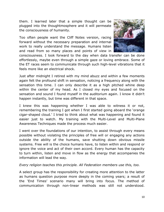them. I learned later that a simple thought can be plugged into the thoughtmosphere and it will permeate the consciousness of humanity.

Too often people want the Cliff Notes version, racing forward without the necessary preparation and internal work to really understand the message. Humans listen and read from so many places and points of view in



consciousness. I look forward to the day when data transfer can be done effortlessly, maybe even through a simple gaze or loving embrace. Some of the ET races seem to communicate through such high-level vibrations that it feels more like an electrical shock.

Just after midnight I retired with my mind abuzz and within a few moments again felt the profound shift in sensation, noticing a frequency along with the sensation this time. I can only describe it as a high pitched whine deep within the center of my head. As I closed my eyes and focused on the sensation and sound I found myself in the auditorium again. I know it didn't happen instantly, but time was different in that space.

I knew this was happening whether I was able to witness it or not, remembering the training I got when I first started going aboard the 'orange cigar-shaped cloud.' I tried to think about what was happening and found it easier just to watch. My training with the Multi-Level and Multi-Plane Awareness Techniques made the process much easier.

I went over the foundations of our intention, to assist through every means possible without violating the principles of free will or engaging any actions outside the ability of the humans, save shutting down obvious missile systems. Free will is the choice humans have, to listen within and respond or ignore the voice and act of their own accord. Every human has the capacity to turn within, listen and move in flow as the energy that accompanies the information will lead the way.

## *Every religion teaches this principle. All Federation members use this, too.*

A select group has the responsibility for creating more attention to the latter as humans question purpose more deeply in the coming years; a result of the 'End Times' scenario many will bring into focus. The method of communication through non-linear methods was still not understood.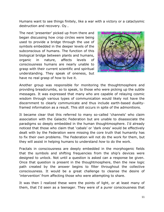Humans want to see things finitely, like a war with a victory or a cataclysmic destruction and recovery. Oy…

The next 'presenter' picked up from there and began discussing how crop circles were being used to provide a bridge through the use of symbols embedded in the deeper levels of the subconscious of humans. The function of this biological bridge between plants and humans, organic in nature, affects levels of consciousness humans are nearly unable to grasp with their current scientific and spiritual understanding. They speak of oneness, but have no real grasp of how to live it.



Another group was responsible for monitoring the thoughtmosphere and providing breadcrumbs, so to speak, to those who were picking up the subtle messages. It was expressed that many who are capable of relaying cosmic wisdom through various types of communication would likely not have the discernment to clearly communicate and thus include earth-based dualityframed information as a result. This still occurs in spite of the admonitions.

It became clear that this referred to many so-called 'channels' who claim association with the Galactic Federation but are unable to disassociate the paradigms so deeply embedded in the human thoughtmosphere. I'd already noticed that those who claim that 'cabals' or 'dark ones' would be effectively dealt with by the Federation were missing the core truth that humanity has to fix their own problems. The Federation will not do the work for them, but they will assist in helping humans to understand *how* to do the work.

Fractals in consciousness are deeply embedded in the morphogenic fields that the symbols and shifting frequencies from the ship's devices were designed to unlock. Not until a question is asked can a response be given. Once that question is present in the thoughtmosphere, then the new logic path created by the answer begins to filter throughout the collective consciousness. It would be a great challenge to cleanse the desire of 'intervention' from affecting those who were attempting to share.

It was then I realized these were the points of light, or at least many of them, that I'd seen as a teenager. They were of a purer consciousness that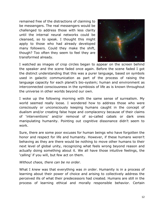remained free of the distractions of claiming to be messengers. The real messengers would be challenged to address those with less clarity until the internal neural networks could be cleansed, so to speak. I thought this might apply to those who had already developed many followers. Could they make the shift, though? Too often they seem to feel they are transformed already.



I watched as images of crop circles began to appear on the screen behind the speaker and the scene faded once again. Before the scene faded I got the distinct understanding that this was a purer language, based on symbols used in galactic communication as part of the process of raising the language capacity for each planet's bio-system; human and environment as interconnected consciousness in the symbiosis of life as is known throughout the universe in other worlds beyond our own.

I woke up the following morning with the same sense of surrealism. My world seemed really loose. I wondered how to address those who were consciously or unconsciously keeping humans caught in the concept of dualism and/or creating false hope and complacency because of their claims of 'interventions' and/or removal of so-called cabals or dark ones manipulating humanity. Pointing out cognitive dissonance didn't seem to work.

Sure, there are some poor excuses for human beings who have forgotten the honor and respect for life and humanity. However, if these humans weren't behaving as they are there would be nothing to move other humans to their next level of global unity, recognizing what feels wrong beyond reason and actually doing something about it. We all have those intuitive feelings, the 'calling' if you will, but few act on them.

## *Without chaos, there can be no order.*

What I *knew* was that everything was *in order*. Humanity is in a process of learning about their power of choice and arising to collectively address the perceived ills of what their predecessors had created. Humans are still in the process of learning ethical and morally responsible behavior. Certain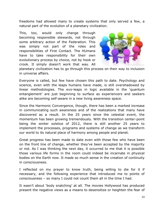freedoms had allowed many to create systems that only served a few, a natural part of the evolution of a planetary civilization.

This, too, would only change through becoming responsible stewards, not through some arbitrary action of the Federation. This was simply not part of the roles and responsibilities of First Contact. The HUmans have to take responsibility for their own evolutionary process by choice, not by hook or crook. It simply doesn't work that way. All



planetary civilization has to go through this process on their way to inclusion in universe affairs.

Everyone is called, but few have chosen this path to date. Psychology and science, even with the leaps humans have made, is still overshadowed by linear methodologies. The evo-leaps in logic available in the 'quantum entanglement' are just beginning to surface as experiencers and seekers alike are becoming self-aware in a new living awareness space.

Since the Harmonic Convergence, though, there has been a marked increase in communicating such awareness and of the realizations that many have discovered as a result. In the 25 years since the celestial event, the momentum has been growing tremendously. With the transition center-point being the winter solstice of 2012, there is still another 25 years to implement the processes, programs and systems of change as we transform our world to its natural place of harmony among people and planet.

Great progress has been made to date even with those few who have been on the front line of change, whether they've been accepted by the majority or not. As I was thinking the next day, it occurred to me that it is possible those various life forms in the room could indeed be incarnate in physical bodies on the Earth now. It made so much sense in the creation of continuity in consciousness.

I reflected on my prayer to know truth, being willing to die for it if necessary, and the following experience that introduced me to points of consciousness – so many I could not count them all in the time I had.

It wasn't about 'body snatching' at all. The movies Hollywood has produced present the negative views as a means to desensitize or heighten the fear of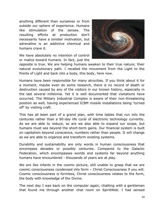anything different than ourselves or from outside our sphere of experience. Humans like stimulation of the senses. The resulting efforts at production don't necessarily have a sinister motivation, but adrenaline is an addictive chemical and humans crave it.

We have absolutely no intention of control or malice toward humans. In fact, just the



opposite is true. We are helping humans awaken to their true nature; their natural evolutionary path. I recalled the movement from the Light to the Points of Light and back into a body, this body, here now.

Humans have been responsible for many atrocities. If you think about it for a moment, maybe even do some research, there is no record of death or destruction caused by any of the visitors in our known history, especially in the last several millennia. Yet it is well documented that visitations have occurred. The Military Industrial Complex is aware of their non-threatening position as well, having experienced ICBM missile installations being 'turned off' by visiting craft.

This has all been part of a grand plan, with time tables that run into the centuries rather than a 90-day life cycle of electronic technology currently. As we are able to reduce, so are we also able to expand our scope, but humans must see beyond the short-term gains. Our financial system is built on capitalism beyond conscience, numbers rather than people. It will change as we are able to organize and transform existing systems.

Durability and sustainability are only words in human consciousness that encompass decades or possibly centuries. Compared to the Galactic Federation, which encompasses worlds and systems far beyond anything humans have encountered - thousands of years are at play.

We are like infants in the cosmic picture, still unable to grasp that we are cosmic consciousness condensed into form – Christ Consciousness if you will. Cosmic consciousness is formless, Christ consciousness relates to the form, the body with knowledge of the Divine.

The next day I was back on the computer again, chatting with a gentleman that found me through another chat room on SpiritWeb. I had sensed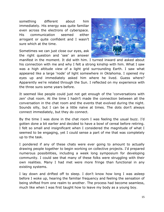something different about him immediately. His energy was quite familiar even across the electrons of cyberspace. His communication seemed either arrogant or quite confident and I wasn't sure which at the time.

Sometimes we can just close our eyes, ask the right question and 'see' an answer



manifest in the moment. It did with him. I turned inward and asked about his connection with me and why I felt a strong kinship with him. What I saw was a high altitude view of a light grid surrounding Earth. I saw what appeared like a large 'node' of light somewhere in Oklahoma. I opened my eyes up and immediately asked him where he lived. Guess where? Apparently we're related through the Sun. I reflected on my experience with the three suns some years before.

It seemed like people could just not get enough of the 'conversations with zen' chat room. At the time I hadn't made the connection between all the conversation in the chat room and the events that evolved during the night. Sounds silly, but I can be a little naïve at times. The dots don't always connect immediately, but they do connect.

By the time I was done in the chat room I was feeling the usual buzz. I'd gotten done a bit earlier and decided to have a bowl of cereal before retiring. I felt so small and insignificant when I considered the magnitude of what I seemed to be engaging, yet I could sense a part of me that was completely up to the task.

I pondered if any of these chats were ever going to amount to actually drawing people together to begin working on collective projects. I'd prepared numerous possibilities, including a week long symposium for developing community. I could see that many of these folks were struggling with their own realities. Many I had met were more fringe than functional in any existing systems.

I lay down and drifted off to sleep. I don't know how long I was asleep before I woke up, hearing the familiar frequency and feeling the sensation of being shifted from one realm to another. The process had become seamless, much like when I was first taught how to leave my body as a young boy.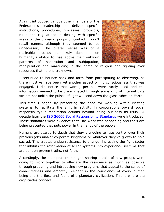Again I introduced various other members of the Federation's leadership to deliver specific instructions, procedures, processes, protocols, rules and regulations in dealing with specific areas of the primary groups of contact. I don't recall names, although they seemed to be unnecessary. The overall sense was of a malleable process that truly depended on humanity's ability to rise above their outworn patterns of separation and subjugation,



manipulation and marauding in the name of religion and fighting over resources that no one truly owns.

I continued to bounce back and forth from participating to observing, so there must've have been yet another aspect of my consciousness that was engaged. I did notice that words, per se, were rarely used and the information seemed to be disseminated through some kind of internal data stream not unlike the pulses of light we send down the glass tubes on Earth.

This time I began by presenting the need for working within existing systems to facilitate the shift in activity in corporations toward social responsibility; humanitarian actions beyond doing business as usual. A decade later the [ISO 26000 Social Responsibility Standards](http://planetarycitizens.net/iso-26000/) were introduced. These standards were evidence that The Work was happening and tools are being presented that puts power in the hands of the people.

Humans are scared to death that they are going to lose control over their precious jobs and/or corporate kingdoms or whatever they've grown to hold sacred. This creates undue resistance to change, increasing the fight factor that inhibits the reformation of belief systems into experience systems that are built on proven truths, not faith.

Accordingly, the next presenter began sharing details of how groups were going to work together to alleviate the resistance as much as possible through preparing and introducing new programs that appeal to the sense of connectedness and empathy resident in the conscience of every human being and the flora and fauna of a planetary civilization. This is where the crop circles connect.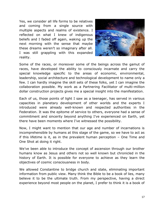Yes, we consider all life forms to be relatives and coming from a single source with multiple aspects and realms of existence. I reflected on what I knew of indigenous beliefs and I faded off again, waking up the next morning with the sense that maybe these dreams weren't so imaginary after all. I was still grappling with this expanded reality.



Some of the races, or moreover some of the beings across the gamut of races, have developed the ability to consciously incarnate and carry the special knowledge specific to the areas of economic, environmental, leadership, social architecture and technological development to name only a few. I can hardly imagine the skill sets of these folks, yet I can imagine the collaboration possible. My work as a Partnering Facilitator of multi-million dollar construction projects gives me a special insight into the manifestation.

Each of us, those points of light I saw as a teenager, has served in various capacities in planetary development of other worlds and the experts I introduced were already well-known and respected authorities in the Federation. It was the epitome of service to others, everyone had a sense of commitment and sincerity beyond anything I've experienced on Earth, yet there have been moments where I've witnessed the possibility.

Now, I might want to mention that our age and number of incarnations is incomprehensible by humans at this stage of the game, so we have to act as if this lifetime is it, as in the prevalent human perception – One Time and One Shot at doing it right.

We've been able to introduce the concept of ascension through our brother humans know as Jesus and others not so well known but chronicled in the history of Earth. It is possible for everyone to achieve as they learn the objectives of cosmic consciousness in body.

We allowed Constantine to bridge church and state, eliminating important information from public view. Many think the Bible to be a book of lies, many believe it to be the ultimate truth. From my perspective, having a direct experience beyond most people on the planet, I prefer to think it is a book of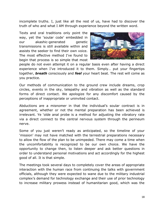incomplete truths. I, just like all the rest of us, have had to discover the truth of who and what I AM through experience beyond the written word.

Texts and oral traditions only point the way, yet the 'soular code' embedded in our akashic-generated genetic transmissions is still available within and assists the seeker to find their own voice. The most effective method I've found to begin that process is so simple that most



people do not even attempt it on a regular basis even after having a direct experience when I've introduced it to them. Simply… put your fingertips together, *breath* consciously and *feel* your heart beat. The rest will come as you practice.

Our methods of communication to the ground crew include dreams, crop circles, events in the sky, telepathy and vibration as well as the standard forms of direct contact. We apologize for any discomfort caused by the perceptions of inappropriate or uninvited contact.

Abductions are a misnomer in that the individual's soular contract is in agreement, whether or not the mental preparation has been achieved is irrelevant. Ye 'olde anal probe is a method for adjusting the vibratory rate via a direct connect to the central nervous system through the perineum nerve.

Some of you just weren't ready as anticipated, so the timeline of your 'mission' may not have matched with the terrestrial preparations necessary to allow the flow of the plan to be unimpeded. There may come a time when the uncomfortability is recognized to be our own choice. We have the opportunity to change then, to listen deeper and ask better questions in order to understand personal motivations and act accordingly for the highest good of all. It is that simple.

The meetings took several days to completely cover the areas of appropriate interaction with the human race from continuing the talks with government officials, although they were expected to wane due to the military industrial complex's demand for technology exchange and their use of prior technology to increase military prowess instead of humanitarian good, which was the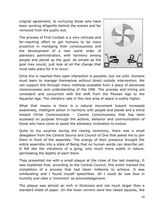original agreement, to nurturing those who have been working diligently behind the scenes and far removed from the public eye.

The process of First Contact is a very intricate and far-reaching effort to get humans to be more proactive in managing their consciousness and the development of a new world order of planetary administration, with harmony among people and planet as the goal. As simple as the goal may sound, just look at all the change that must take place for it to occur.



Once this is reached then open interaction is possible, but not until. Humans must learn to manage themselves without direct outside intervention. We can support this through many methods available from a place of advanced consciousness and understanding of the ONE. The process and timing are consistent and concurrent with the shift from the Piscean Age to the Aquarian Age. The vibratory rate in this new area of space is subtly higher.

What that means is there is a natural movement toward increased awareness, intelligent action in harmony with people and planet and a trend toward Christ Consciousness – Cosmic Consciousness that has been accessed on purpose through the actions, behavior and communication of those who have come to assist the planetary civilization to evolve.

Quite to my surprise during the closing ceremony, there was a small delegation from the Central Source and Council of One that asked me to join them in front of the assembly. The energy of their presence brought the entire assembly into a state of Being that no human words can describe yet. It felt like the vibrations of a gong, only much more subtle in nature, permeating the depths of each there.

They presented me with a small plaque at the close of the last meeting. It was explained that, according to the Central Council, this event marked the completion of a process that had taken millennia to achieve. It was exhilarating and I found myself speechless. All I could do was bow in humility and utter a 'mmmmm' as acknowledgement.

The plaque was almost an inch in thickness and not much larger than a standard sheet of paper. On the lower corners were two raised squares, like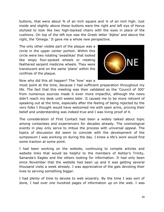buttons, that were about  $\frac{3}{4}$  of an inch square and  $\frac{1}{4}$  of an inch high. Just inside and slightly above these buttons were the right and left eye of Horus stylized to look like two high-backed chairs with the eyes in place of the cushions. On top of the left eye was the Greek letter 'Alpha' and above the right, the 'Omega.' It gave me a whole new perspective.

The only other visible part of the plaque was a circle in the upper center portion. Within this circle were two rotating 'swastikas' that looked like wispy four-spoked wheels or rotating feathered serpent medicine wheels. They were translucent and on the same 'plane' within the confines of the plaque.



Now why did this all happen? The 'how' was a

moot point at the time, because I had sufficient preparation throughout my life. The fact that this meeting was then validated as the 'Council of 300' from numerous sources made it even more impactful, although the news didn't reach my desk until weeks later. It caused me to be more reticent of speaking out at the time, especially after the feeling of being rejected by the very folks I thought would have welcomed me with open arms, proving their belief and understanding was indeed true and I was living proof of it.

The consideration of First Contact had been a widely talked about topic among contactees and experiencers for decades already. The cosmological events in play only serve to imbue the process with universal appeal. The topics of discussion did seem to coincide with the development of the symposium I was working on during the day. I knew a life's work would find some traction at some point.

I had been working on the website, continuing to compile articles and website links that would be helpful to the members of Ashtar's Trinity, Sananda's Eagles and the others looking for information. It had only been since November that the website had been up and it was getting several thousand visits a week already. I was appreciative of the gals devoting their lives to serving something bigger.

I had plenty of time to devote to web wizardry. By the time I was sort of done, I had over one hundred pages of information up on the web. I was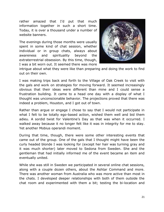rather amazed that I'd put that much information together in such a short time. Today, it is over a thousand under a number of website banners.

The evenings during those months were usually spent in some kind of chat session, whether individual or in group chats, always about awareness and spirituality beyond the extraterrestrial obsession. By this time, though, I was a bit worn out. It seemed there was more



intrigue about what they were like than preparing and doing the work to find out on their own.

I was making trips back and forth to the Village of Oak Creek to visit with the gals and work on strategies for moving forward. It seemed increasingly obvious that their ideas were different than mine and I could sense a frustration building. It came to a head one day with a display of what I thought was unconscionable behavior. The projections proved that there was indeed a problem, Houston, and I got out of town.

Rather than argue or engage I chose to say that I would not participate in what I felt to be totally ego-based action, wished them well and bid them adieu. A sordid twist for Valentine's Day as that was when it occurred. I walked away because it no longer felt like it was in integrity for me to stay. Yet another Mobius operandi moment.

During that time, though, there were some other interesting events that came out of the group. One of the gals that I thought might have been the curly headed blonde I was looking for (except her hair was turning gray and it was much shorter) later moved to Sedona from Sweden. She and the gentleman that had initially informed me of the event became an item and eventually united.

While she was still in Sweden we participated in several online chat sessions, along with a couple dozen others, about the Ashtar Command and more. There was another woman from Australia who was more active than most in the chats. I developed deeper relationships with both of them outside the chat room and experimented with them a bit; testing the bi-location and